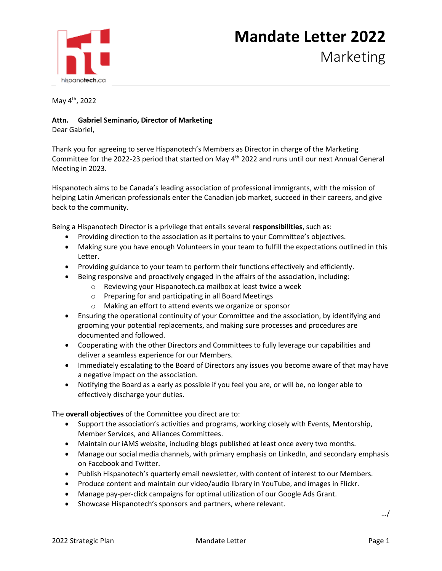

## **Mandate Letter 2022**

Marketing

May 4th, 2022

## **Attn. Gabriel Seminario, Director of Marketing**

Dear Gabriel,

Thank you for agreeing to serve Hispanotech's Members as Director in charge of the Marketing Committee for the 2022-23 period that started on May 4th 2022 and runs until our next Annual General Meeting in 2023.

Hispanotech aims to be Canada's leading association of professional immigrants, with the mission of helping Latin American professionals enter the Canadian job market, succeed in their careers, and give back to the community.

Being a Hispanotech Director is a privilege that entails several **responsibilities**, such as:

- Providing direction to the association as it pertains to your Committee's objectives.
- Making sure you have enough Volunteers in your team to fulfill the expectations outlined in this Letter.
- Providing guidance to your team to perform their functions effectively and efficiently.
- Being responsive and proactively engaged in the affairs of the association, including:
	- o Reviewing your Hispanotech.ca mailbox at least twice a week
	- o Preparing for and participating in all Board Meetings
	- o Making an effort to attend events we organize or sponsor
- Ensuring the operational continuity of your Committee and the association, by identifying and grooming your potential replacements, and making sure processes and procedures are documented and followed.
- Cooperating with the other Directors and Committees to fully leverage our capabilities and deliver a seamless experience for our Members.
- Immediately escalating to the Board of Directors any issues you become aware of that may have a negative impact on the association.
- Notifying the Board as a early as possible if you feel you are, or will be, no longer able to effectively discharge your duties.

The **overall objectives** of the Committee you direct are to:

- Support the association's activities and programs, working closely with Events, Mentorship, Member Services, and Alliances Committees.
- Maintain our iAMS website, including blogs published at least once every two months.
- Manage our social media channels, with primary emphasis on LinkedIn, and secondary emphasis on Facebook and Twitter.
- Publish Hispanotech's quarterly email newsletter, with content of interest to our Members.
- Produce content and maintain our video/audio library in YouTube, and images in Flickr.
- Manage pay-per-click campaigns for optimal utilization of our Google Ads Grant.
- Showcase Hispanotech's sponsors and partners, where relevant.

…/